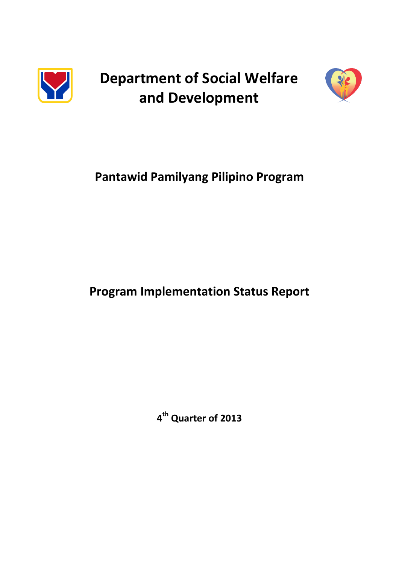

**Department of Social Welfare and Development**



# **Pantawid Pamilyang Pilipino Program**

## **Program Implementation Status Report**

**4 th Quarter of 2013**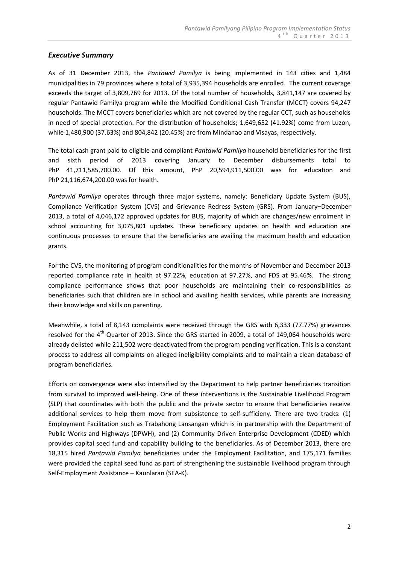## *Executive Summary*

As of 31 December 2013, the *Pantawid Pamilya* is being implemented in 143 cities and 1,484 municipalities in 79 provinces where a total of 3,935,394 households are enrolled. The current coverage exceeds the target of 3,809,769 for 2013. Of the total number of households, 3,841,147 are covered by regular Pantawid Pamilya program while the Modified Conditional Cash Transfer (MCCT) covers 94,247 households. The MCCT covers beneficiaries which are not covered by the regular CCT, such as households in need of special protection. For the distribution of households; 1,649,652 (41.92%) come from Luzon, while 1,480,900 (37.63%) and 804,842 (20.45%) are from Mindanao and Visayas, respectively.

The total cash grant paid to eligible and compliant *Pantawid Pamilya* household beneficiaries for the first and sixth period of 2013 covering January to December disbursements total to PhP 41,711,585,700.00. Of this amount, PhP 20,594,911,500.00 was for education and PhP 21,116,674,200.00 was for health.

*Pantawid Pamilya* operates through three major systems, namely: Beneficiary Update System (BUS), Compliance Verification System (CVS) and Grievance Redress System (GRS). From January–December 2013, a total of 4,046,172 approved updates for BUS, majority of which are changes/new enrolment in school accounting for 3,075,801 updates. These beneficiary updates on health and education are continuous processes to ensure that the beneficiaries are availing the maximum health and education grants.

For the CVS, the monitoring of program conditionalities for the months of November and December 2013 reported compliance rate in health at 97.22%, education at 97.27%, and FDS at 95.46%. The strong compliance performance shows that poor households are maintaining their co-responsibilities as beneficiaries such that children are in school and availing health services, while parents are increasing their knowledge and skills on parenting.

Meanwhile, a total of 8,143 complaints were received through the GRS with 6,333 (77.77%) grievances resolved for the 4<sup>th</sup> Quarter of 2013. Since the GRS started in 2009, a total of 149,064 households were already delisted while 211,502 were deactivated from the program pending verification. This is a constant process to address all complaints on alleged ineligibility complaints and to maintain a clean database of program beneficiaries.

Efforts on convergence were also intensified by the Department to help partner beneficiaries transition from survival to improved well-being. One of these interventions is the Sustainable Livelihood Program (SLP) that coordinates with both the public and the private sector to ensure that beneficiaries receive additional services to help them move from subsistence to self-sufficieny. There are two tracks: (1) Employment Facilitation such as Trabahong Lansangan which is in partnership with the Department of Public Works and Highways (DPWH), and (2) Community Driven Enterprise Development (CDED) which provides capital seed fund and capability building to the beneficiaries. As of December 2013, there are 18,315 hired *Pantawid Pamilya* beneficiaries under the Employment Facilitation, and 175,171 families were provided the capital seed fund as part of strengthening the sustainable livelihood program through Self-Employment Assistance – Kaunlaran (SEA-K).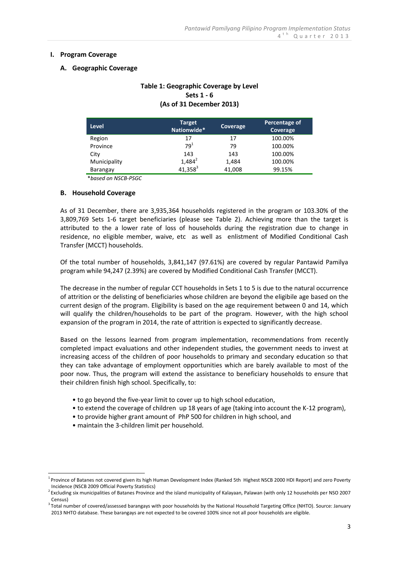#### **I. Program Coverage**

#### **A. Geographic Coverage**

## **Table 1: Geographic Coverage by Level Sets 1 - 6 (As of 31 December 2013)**

| <b>Level</b> | <b>Target</b><br>Nationwide* | <b>Coverage</b> | Percentage of<br>Coverage |
|--------------|------------------------------|-----------------|---------------------------|
| Region       | 17                           | 17              | 100.00%                   |
| Province     | 79 <sup>1</sup>              | 79              | 100.00%                   |
| City         | 143                          | 143             | 100.00%                   |
| Municipality | $1,484^2$                    | 1,484           | 100.00%                   |
| Barangay     | $41,358^3$                   | 41,008          | 99.15%                    |

\**based on NSCB-PSGC*

#### **B. Household Coverage**

As of 31 December, there are 3,935,364 households registered in the program or 103.30% of the 3,809,769 Sets 1-6 target beneficiaries (please see Table 2). Achieving more than the target is attributed to the a lower rate of loss of households during the registration due to change in residence, no eligible member, waive, etc as well as enlistment of Modified Conditional Cash Transfer (MCCT) households.

Of the total number of households, 3,841,147 (97.61%) are covered by regular Pantawid Pamilya program while 94,247 (2.39%) are covered by Modified Conditional Cash Transfer (MCCT).

The decrease in the number of regular CCT households in Sets 1 to 5 is due to the natural occurrence of attrition or the delisting of beneficiaries whose children are beyond the eligibile age based on the current design of the program. Eligibility is based on the age requirement between 0 and 14, which will qualify the children/households to be part of the program. However, with the high school expansion of the program in 2014, the rate of attrition is expected to significantly decrease.

Based on the lessons learned from program implementation, recommendations from recently completed impact evaluations and other independent studies, the government needs to invest at increasing access of the children of poor households to primary and secondary education so that they can take advantage of employment opportunities which are barely available to most of the poor now. Thus, the program will extend the assistance to beneficiary households to ensure that their children finish high school. Specifically, to:

- to go beyond the five-year limit to cover up to high school education,
- to extend the coverage of children up 18 years of age (taking into account the K-12 program),
- to provide higher grant amount of PhP 500 for children in high school, and
- maintain the 3-children limit per household.

<u>.</u>

<sup>&</sup>lt;sup>1</sup> Province of Batanes not covered given its high Human Development Index (Ranked 5th Highest NSCB 2000 HDI Report) and zero Poverty Incidence (NSCB 2009 Official Poverty Statistics)

<sup>&</sup>lt;sup>2</sup> Excluding six municipalities of Batanes Province and the island municipality of Kalayaan, Palawan (with only 12 households per NSO 2007 Census)

<sup>&</sup>lt;sup>3</sup> Total number of covered/assessed barangays with poor households by the National Household Targeting Office (NHTO). Source: January 2013 NHTO database. These barangays are not expected to be covered 100% since not all poor households are eligible.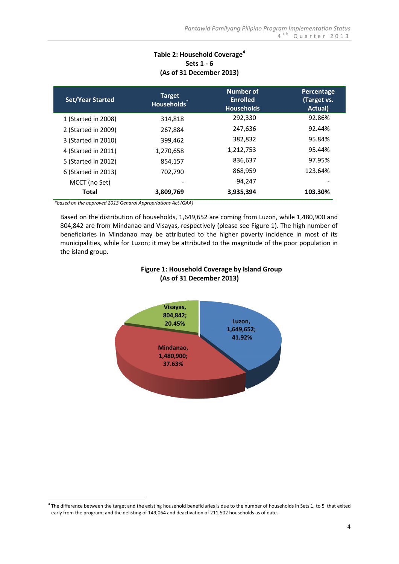## **Table 2: Household Coverage<sup>4</sup> Sets 1 - 6 (As of 31 December 2013)**

| <b>Set/Year Started</b> | <b>Target</b><br>Households <sup>®</sup> | Number of<br><b>Enrolled</b><br><b>Households</b> | Percentage<br>(Target vs.<br>Actual) |
|-------------------------|------------------------------------------|---------------------------------------------------|--------------------------------------|
| 1 (Started in 2008)     | 314,818                                  | 292,330                                           | 92.86%                               |
| 2 (Started in 2009)     | 267,884                                  | 247,636                                           | 92.44%                               |
| 3 (Started in 2010)     | 399,462                                  | 382,832                                           | 95.84%                               |
| 4 (Started in 2011)     | 1,270,658                                | 1,212,753                                         | 95.44%                               |
| 5 (Started in 2012)     | 854,157                                  | 836,637                                           | 97.95%                               |
| 6 (Started in 2013)     | 702,790                                  | 868,959                                           | 123.64%                              |
| MCCT (no Set)           |                                          | 94,247                                            |                                      |
| Total                   | 3,809,769                                | 3,935,394                                         | 103.30%                              |

*\*based on the approved 2013 Genaral Appropriations Act (GAA)*

<u>.</u>

Based on the distribution of households, 1,649,652 are coming from Luzon, while 1,480,900 and 804,842 are from Mindanao and Visayas, respectively (please see Figure 1). The high number of beneficiaries in Mindanao may be attributed to the higher poverty incidence in most of its municipalities, while for Luzon; it may be attributed to the magnitude of the poor population in the island group.



## **Figure 1: Household Coverage by Island Group (As of 31 December 2013)**

 $4$  The difference between the target and the existing household beneficiaries is due to the number of households in Sets 1, to 5 that exited early from the program; and the delisting of 149,064 and deactivation of 211,502 households as of date.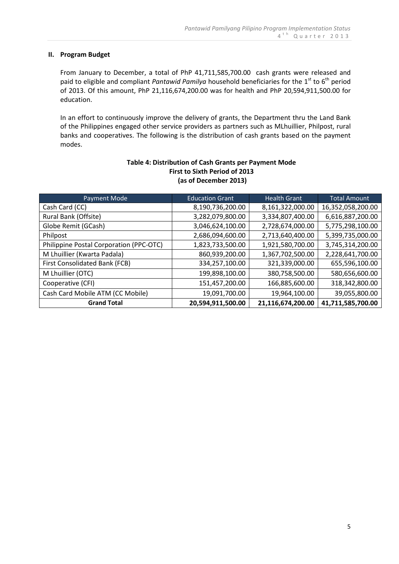#### **II. Program Budget**

From January to December, a total of PhP 41,711,585,700.00 cash grants were released and paid to eligible and compliant *Pantawid Pamilya* household beneficiaries for the 1<sup>st</sup> to 6<sup>th</sup> period of 2013. Of this amount, PhP 21,116,674,200.00 was for health and PhP 20,594,911,500.00 for education.

In an effort to continuously improve the delivery of grants, the Department thru the Land Bank of the Philippines engaged other service providers as partners such as MLhuillier, Philpost, rural banks and cooperatives. The following is the distribution of cash grants based on the payment modes.

| Payment Mode                            | <b>Education Grant</b> | <b>Health Grant</b> | <b>Total Amount</b> |
|-----------------------------------------|------------------------|---------------------|---------------------|
| Cash Card (CC)                          | 8,190,736,200.00       | 8,161,322,000.00    | 16,352,058,200.00   |
| Rural Bank (Offsite)                    | 3,282,079,800.00       | 3,334,807,400.00    | 6,616,887,200.00    |
| Globe Remit (GCash)                     | 3,046,624,100.00       | 2,728,674,000.00    | 5,775,298,100.00    |
| Philpost                                | 2,686,094,600.00       | 2,713,640,400.00    | 5,399,735,000.00    |
| Philippine Postal Corporation (PPC-OTC) | 1,823,733,500.00       | 1,921,580,700.00    | 3,745,314,200.00    |
| M Lhuillier (Kwarta Padala)             | 860,939,200.00         | 1,367,702,500.00    | 2,228,641,700.00    |
| First Consolidated Bank (FCB)           | 334,257,100.00         | 321,339,000.00      | 655,596,100.00      |
| M Lhuillier (OTC)                       | 199,898,100.00         | 380,758,500.00      | 580,656,600.00      |
| Cooperative (CFI)                       | 151,457,200.00         | 166,885,600.00      | 318,342,800.00      |
| Cash Card Mobile ATM (CC Mobile)        | 19,091,700.00          | 19,964,100.00       | 39,055,800.00       |
| <b>Grand Total</b>                      | 20,594,911,500.00      | 21,116,674,200.00   | 41,711,585,700.00   |

## **Table 4: Distribution of Cash Grants per Payment Mode First to Sixth Period of 2013 (as of December 2013)**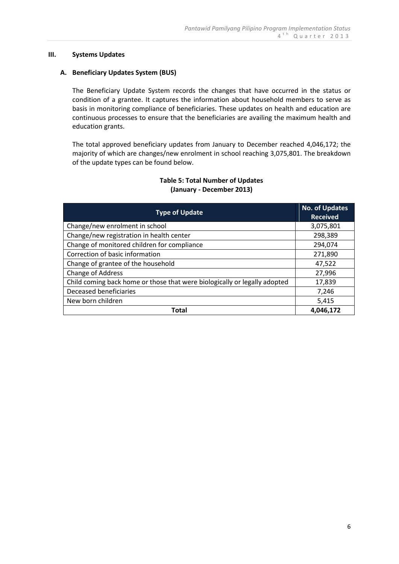#### **III. Systems Updates**

### **A. Beneficiary Updates System (BUS)**

The Beneficiary Update System records the changes that have occurred in the status or condition of a grantee. It captures the information about household members to serve as basis in monitoring compliance of beneficiaries. These updates on health and education are continuous processes to ensure that the beneficiaries are availing the maximum health and education grants.

The total approved beneficiary updates from January to December reached 4,046,172; the majority of which are changes/new enrolment in school reaching 3,075,801. The breakdown of the update types can be found below.

| <b>Type of Update</b>                                                     | <b>No. of Updates</b><br><b>Received</b> |
|---------------------------------------------------------------------------|------------------------------------------|
| Change/new enrolment in school                                            | 3,075,801                                |
| Change/new registration in health center                                  | 298,389                                  |
| Change of monitored children for compliance                               | 294,074                                  |
| Correction of basic information                                           | 271,890                                  |
| Change of grantee of the household                                        | 47,522                                   |
| Change of Address                                                         | 27,996                                   |
| Child coming back home or those that were biologically or legally adopted | 17,839                                   |
| Deceased beneficiaries                                                    | 7,246                                    |
| New born children                                                         | 5,415                                    |
| Total                                                                     | 4,046,172                                |

## **Table 5: Total Number of Updates (January - December 2013)**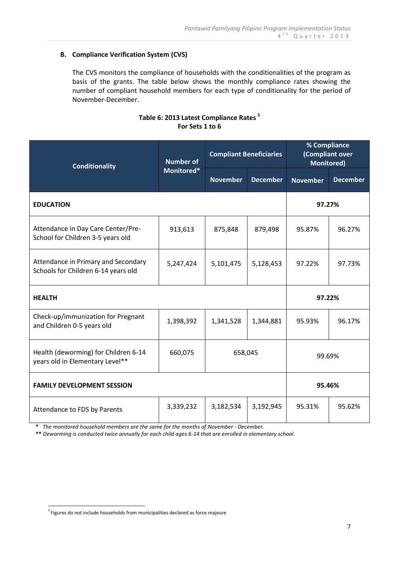## **B. Compliance Verification System (CVS)**

The CVS monitors the compliance of households with the conditionalities of the program as basis of the grants. The table below shows the monthly compliance rates showing the number of compliant household members for each type of conditionality for the period of November-December.

## **Table 6: 2013 Latest Compliance Rates <sup>5</sup> For Sets 1 to 6**

| <b>Conditionality</b>                                                      | <b>Number of</b><br>Monitored* | <b>Compliant Beneficiaries</b> |                 | % Compliance<br>(Compliant over<br><b>Monitored)</b> |                 |
|----------------------------------------------------------------------------|--------------------------------|--------------------------------|-----------------|------------------------------------------------------|-----------------|
|                                                                            |                                | <b>November</b>                | <b>December</b> | <b>November</b>                                      | <b>December</b> |
| <b>EDUCATION</b>                                                           |                                |                                |                 | 97.27%                                               |                 |
| Attendance in Day Care Center/Pre-<br>School for Children 3-5 years old    | 913,613                        | 875,848                        | 879,498         | 95.87%                                               | 96.27%          |
| Attendance in Primary and Secondary<br>Schools for Children 6-14 years old | 5,247,424                      | 5,101,475                      | 5,128,453       | 97.22%                                               | 97.73%          |
| <b>HEALTH</b>                                                              |                                |                                |                 | 97.22%                                               |                 |
| Check-up/immunization for Pregnant<br>and Children 0-5 years old           | 1,398,392                      | 1,341,528                      | 1,344,881       | 95.93%                                               | 96.17%          |
| Health (deworming) for Children 6-14<br>years old in Elementary Level**    | 660,075                        | 658,045                        |                 | 99.69%                                               |                 |
| <b>FAMILY DEVELOPMENT SESSION</b>                                          |                                |                                | 95.46%          |                                                      |                 |
| Attendance to FDS by Parents                                               | 3,339,232                      | 3,182,534                      | 3,192,945       | 95.31%                                               | 95.62%          |

 **\*** *The monitored household members are the same for the months of November - December.*

 **\*\*** *Deworming is conducted twice annually for each child ages 6-14 that are enrolled in elementary school.*

 5 Figures do not include households from municipalities declared as force majeure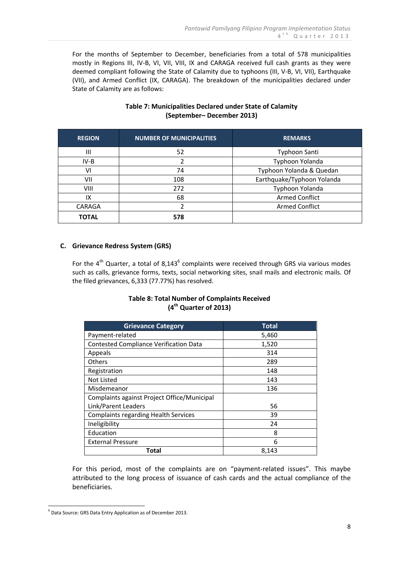For the months of September to December, beneficiaries from a total of 578 municipalities mostly in Regions III, IV-B, VI, VII, VIII, IX and CARAGA received full cash grants as they were deemed compliant following the State of Calamity due to typhoons (III, V-B, VI, VII), Earthquake (VII), and Armed Conflict (IX, CARAGA). The breakdown of the municipalities declared under State of Calamity are as follows:

## **Table 7: Municipalities Declared under State of Calamity (September– December 2013)**

| <b>REGION</b>  | <b>NUMBER OF MUNICIPALITIES</b> | <b>REMARKS</b>             |
|----------------|---------------------------------|----------------------------|
| $\mathbf{III}$ | 52                              | Typhoon Santi              |
| $IV-B$         | 2                               | Typhoon Yolanda            |
| VI             | 74                              | Typhoon Yolanda & Quedan   |
| VII            | 108                             | Earthquake/Typhoon Yolanda |
| VIII           | 272                             | Typhoon Yolanda            |
| IX             | 68                              | <b>Armed Conflict</b>      |
| CARAGA         | 2                               | <b>Armed Conflict</b>      |
| <b>TOTAL</b>   | 578                             |                            |

## **C. Grievance Redress System (GRS)**

For the  $4^{th}$  Quarter, a total of 8,143 $^6$  complaints were received through GRS via various modes such as calls, grievance forms, texts, social networking sites, snail mails and electronic mails. Of the filed grievances, 6,333 (77.77%) has resolved.

## **Table 8: Total Number of Complaints Received (4 th Quarter of 2013)**

| <b>Grievance Category</b>                     | <b>Total</b> |
|-----------------------------------------------|--------------|
| Payment-related                               | 5,460        |
| <b>Contested Compliance Verification Data</b> | 1,520        |
| Appeals                                       | 314          |
| <b>Others</b>                                 | 289          |
| Registration                                  | 148          |
| Not Listed                                    | 143          |
| Misdemeanor                                   | 136          |
| Complaints against Project Office/Municipal   |              |
| Link/Parent Leaders                           | 56           |
| <b>Complaints regarding Health Services</b>   | 39           |
| Ineligibility                                 | 24           |
| Education                                     | 8            |
| <b>External Pressure</b>                      | 6            |
| Total                                         | 8,143        |

For this period, most of the complaints are on "payment-related issues". This maybe attributed to the long process of issuance of cash cards and the actual compliance of the beneficiaries.

 6 Data Source: GRS Data Entry Application as of December 2013.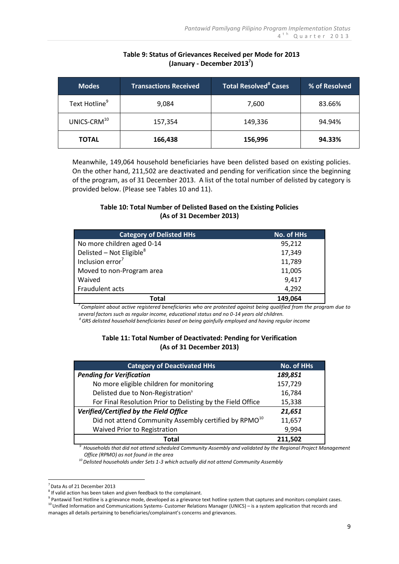| <b>Modes</b>              | <b>Transactions Received</b> | $\overline{\phantom{a}}$ Total Resolved $^8$ Cases $^7$ | % of Resolved |
|---------------------------|------------------------------|---------------------------------------------------------|---------------|
| Text Hotline <sup>9</sup> | 9,084                        | 7,600                                                   | 83.66%        |
| UNICS-CRM <sup>10</sup>   | 157,354                      | 149,336                                                 | 94.94%        |
| <b>TOTAL</b>              | 166,438                      | 156,996                                                 | 94.33%        |

## **Table 9: Status of Grievances Received per Mode for 2013 (January - December 2013<sup>7</sup> )**

Meanwhile, 149,064 household beneficiaries have been delisted based on existing policies. On the other hand, 211,502 are deactivated and pending for verification since the beginning of the program, as of 31 December 2013. A list of the total number of delisted by category is provided below. (Please see Tables 10 and 11).

## **Table 10: Total Number of Delisted Based on the Existing Policies (As of 31 December 2013)**

| <b>Category of Delisted HHs</b> | <b>No. of HHs</b> |
|---------------------------------|-------------------|
| No more children aged 0-14      | 95,212            |
| Delisted – Not Eligible $8$     | 17,349            |
| Inclusion error <sup>7</sup>    | 11,789            |
| Moved to non-Program area       | 11,005            |
| Waived                          | 9,417             |
| Fraudulent acts                 | 4,292             |
| Total                           | 149,064           |

*<sup>7</sup>Complaint about active registered beneficiaries who are protested against being qualified from the program due to several factors such as regular income, educational status and no 0-14 years old children.*

*<sup>8</sup>GRS delisted household beneficiaries based on being gainfully employed and having regular income*

## **Table 11: Total Number of Deactivated: Pending for Verification (As of 31 December 2013)**

| <b>Category of Deactivated HHs</b>                                | No. of HHs |
|-------------------------------------------------------------------|------------|
| <b>Pending for Verification</b>                                   | 189,851    |
| No more eligible children for monitoring                          | 157,729    |
| Delisted due to Non-Registration <sup>9</sup>                     | 16,784     |
| For Final Resolution Prior to Delisting by the Field Office       | 15,338     |
| Verified/Certified by the Field Office                            | 21,651     |
| Did not attend Community Assembly certified by RPMO <sup>10</sup> | 11,657     |
| Waived Prior to Registration                                      | 9,994      |
| Total                                                             | 211.502    |

*<sup>9</sup>Households that did not attend scheduled Community Assembly and validated by the Regional Project Management Office (RPMO) as not found in the area*

 *<sup>10</sup>Delisted households under Sets 1-3 which actually did not attend Community Assembly*

<u>.</u>

<sup>7</sup> Data As of 21 December 2013

 $8$  If valid action has been taken and given feedback to the complainant.

<sup>&</sup>lt;sup>9</sup> Pantawid Text Hotline is a grievance mode, developed as a grievance text hotline system that captures and monitors complaint cases. 10 Unified Information and Communications Systems- Customer Relations Manager (UNICS) – is a system application that records and

manages all details pertaining to beneficiaries/complainant's concerns and grievances.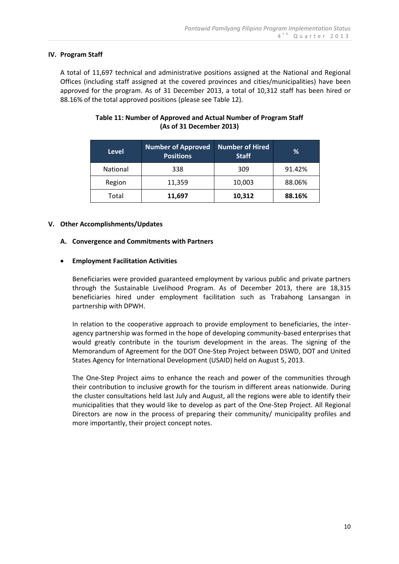### **IV. Program Staff**

A total of 11,697 technical and administrative positions assigned at the National and Regional Offices (including staff assigned at the covered provinces and cities/municipalities) have been approved for the program. As of 31 December 2013, a total of 10,312 staff has been hired or 88.16% of the total approved positions (please see Table 12).

| <b>Level</b>    | <b>Number of Approved</b><br><b>Positions</b> | Number of Hired<br><b>Staff</b> | %      |
|-----------------|-----------------------------------------------|---------------------------------|--------|
| <b>National</b> | 338                                           | 309                             | 91.42% |
| Region          | 11,359                                        | 10,003                          | 88.06% |
| Total           | 11,697                                        | 10,312                          | 88.16% |

## **Table 11: Number of Approved and Actual Number of Program Staff (As of 31 December 2013)**

#### **V. Other Accomplishments/Updates**

#### **A. Convergence and Commitments with Partners**

#### **Employment Facilitation Activities**

Beneficiaries were provided guaranteed employment by various public and private partners through the Sustainable Livelihood Program. As of December 2013, there are 18,315 beneficiaries hired under employment facilitation such as Trabahong Lansangan in partnership with DPWH.

In relation to the cooperative approach to provide employment to beneficiaries, the interagency partnership was formed in the hope of developing community-based enterprises that would greatly contribute in the tourism development in the areas. The signing of the Memorandum of Agreement for the DOT One-Step Project between DSWD, DOT and United States Agency for International Development (USAID) held on August 5, 2013.

The One-Step Project aims to enhance the reach and power of the communities through their contribution to inclusive growth for the tourism in different areas nationwide. During the cluster consultations held last July and August, all the regions were able to identify their municipalities that they would like to develop as part of the One-Step Project. All Regional Directors are now in the process of preparing their community/ municipality profiles and more importantly, their project concept notes.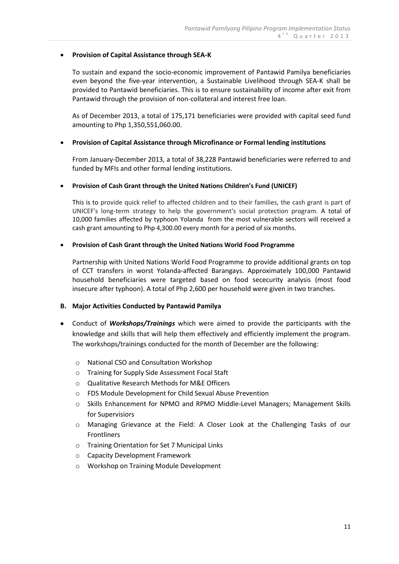### **Provision of Capital Assistance through SEA-K**

To sustain and expand the socio-economic improvement of Pantawid Pamilya beneficiaries even beyond the five-year intervention, a Sustainable Livelihood through SEA-K shall be provided to Pantawid beneficiaries. This is to ensure sustainability of income after exit from Pantawid through the provision of non-collateral and interest free loan.

As of December 2013, a total of 175,171 beneficiaries were provided with capital seed fund amounting to Php 1,350,551,060.00.

## **Provision of Capital Assistance through Microfinance or Formal lending institutions**

From January-December 2013, a total of 38,228 Pantawid beneficiaries were referred to and funded by MFIs and other formal lending institutions.

## **Provision of Cash Grant through the United Nations Children's Fund (UNICEF)**

This is to provide quick relief to affected children and to their families, the cash grant is part of UNICEF's long-term strategy to help the government's social protection program. A total of 10,000 families affected by typhoon Yolanda from the most vulnerable sectors will received a cash grant amounting to Php 4,300.00 every month for a period of six months.

## **Provision of Cash Grant through the United Nations World Food Programme**

Partnership with United Nations World Food Programme to provide additional grants on top of CCT transfers in worst Yolanda-affected Barangays. Approximately 100,000 Pantawid household beneficiaries were targeted based on food sececurity analysis (most food insecure after typhoon). A total of Php 2,600 per household were given in two tranches.

#### **B. Major Activities Conducted by Pantawid Pamilya**

- Conduct of *Workshops/Trainings* which were aimed to provide the participants with the knowledge and skills that will help them effectively and efficiently implement the program. The workshops/trainings conducted for the month of December are the following:
	- o National CSO and Consultation Workshop
	- o Training for Supply Side Assessment Focal Staft
	- o Qualitative Research Methods for M&E Officers
	- o FDS Module Development for Child Sexual Abuse Prevention
	- o Skills Enhancement for NPMO and RPMO Middle-Level Managers; Management Skills for Supervisiors
	- o Managing Grievance at the Field: A Closer Look at the Challenging Tasks of our Frontliners
	- o Training Orientation for Set 7 Municipal Links
	- o Capacity Development Framework
	- o Workshop on Training Module Development